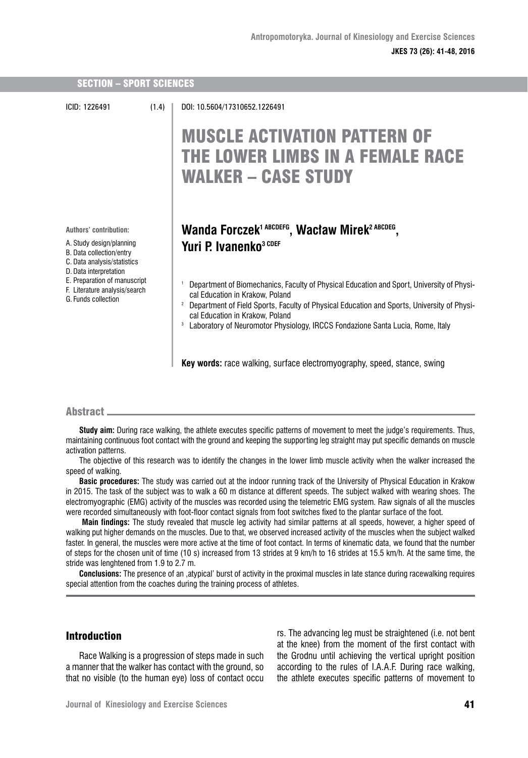| <b>SECTION - SPORT SCIENCES</b>                                                                                                                                                                                                 |       |                                                                                                                                                                                                                                                                                                                                                                                                                                                                                                                                                  |
|---------------------------------------------------------------------------------------------------------------------------------------------------------------------------------------------------------------------------------|-------|--------------------------------------------------------------------------------------------------------------------------------------------------------------------------------------------------------------------------------------------------------------------------------------------------------------------------------------------------------------------------------------------------------------------------------------------------------------------------------------------------------------------------------------------------|
| ICID: 1226491                                                                                                                                                                                                                   | (1.4) | DOI: 10.5604/17310652.1226491<br><b>MUSCLE ACTIVATION PATTERN OF</b><br>THE LOWER LIMBS IN A FEMALE RACE<br><b>WALKER - CASE STUDY</b>                                                                                                                                                                                                                                                                                                                                                                                                           |
| Authors' contribution:<br>A. Study design/planning<br>B. Data collection/entry<br>C. Data analysis/statistics<br>D. Data interpretation<br>E. Preparation of manuscript<br>F. Literature analysis/search<br>G. Funds collection |       | Wanda Forczek <sup>1 ABCDEFG</sup> , Wacław Mirek <sup>2 ABCDEG</sup> ,<br>Yuri P. Ivanenko <sup>3 CDEF</sup><br>Department of Biomechanics, Faculty of Physical Education and Sport, University of Physi-<br>cal Education in Krakow, Poland<br>Department of Field Sports, Faculty of Physical Education and Sports, University of Physi-<br>cal Education in Krakow, Poland<br>Laboratory of Neuromotor Physiology, IRCCS Fondazione Santa Lucia, Rome, Italy<br>3<br>Key words: race walking, surface electromyography, speed, stance, swing |

# Abstract

**Study aim:** During race walking, the athlete executes specific patterns of movement to meet the judge's requirements. Thus, maintaining continuous foot contact with the ground and keeping the supporting leg straight may put specific demands on muscle activation patterns.

The objective of this research was to identify the changes in the lower limb muscle activity when the walker increased the speed of walking.

**Basic procedures:** The study was carried out at the indoor running track of the University of Physical Education in Krakow in 2015. The task of the subject was to walk a 60 m distance at different speeds. The subject walked with wearing shoes. The electromyographic (EMG) activity of the muscles was recorded using the telemetric EMG system. Raw signals of all the muscles were recorded simultaneously with foot-floor contact signals from foot switches fixed to the plantar surface of the foot.

 **Main findings:** The study revealed that muscle leg activity had similar patterns at all speeds, however, a higher speed of walking put higher demands on the muscles. Due to that, we observed increased activity of the muscles when the subject walked faster. In general, the muscles were more active at the time of foot contact. In terms of kinematic data, we found that the number of steps for the chosen unit of time (10 s) increased from 13 strides at 9 km/h to 16 strides at 15.5 km/h. At the same time, the stride was lenghtened from 1.9 to 2.7 m.

**Conclusions:** The presence of an 'atypical' burst of activity in the proximal muscles in late stance during racewalking requires special attention from the coaches during the training process of athletes.

# Introduction

Race Walking is a progression of steps made in such a manner that the walker has contact with the ground, so that no visible (to the human eye) loss of contact occu rs. The advancing leg must be straightened (i.e. not bent at the knee) from the moment of the first contact with the Grodnu until achieving the vertical upright position according to the rules of I.A.A.F. During race walking, the athlete executes specific patterns of movement to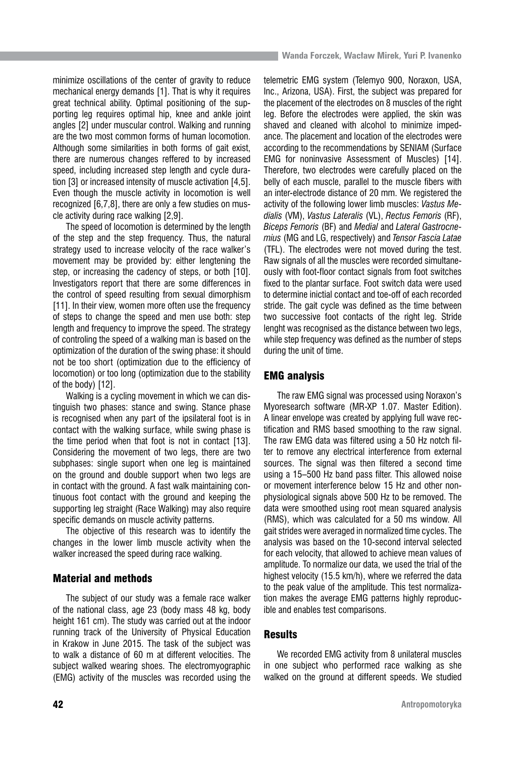minimize oscillations of the center of gravity to reduce mechanical energy demands [1]. That is why it requires great technical ability. Optimal positioning of the supporting leg requires optimal hip, knee and ankle joint angles [2] under muscular control. Walking and running are the two most common forms of human locomotion. Although some similarities in both forms of gait exist. there are numerous changes reffered to by increased speed, including increased step length and cycle duration [3] or increased intensity of muscle activation [4,5]. Even though the muscle activity in locomotion is well recognized [6,7,8], there are only a few studies on muscle activity during race walking [2,9].

The speed of locomotion is determined by the length of the step and the step frequency. Thus, the natural strategy used to increase velocity of the race walker's movement may be provided by: either lengtening the step, or increasing the cadency of steps, or both [10]. Investigators report that there are some differences in the control of speed resulting from sexual dimorphism [11]. In their view, women more often use the frequency of steps to change the speed and men use both: step length and frequency to improve the speed. The strategy of controling the speed of a walking man is based on the optimization of the duration of the swing phase: it should not be too short (optimization due to the efficiency of locomotion) or too long (optimization due to the stability of the body) [12].

Walking is a cycling movement in which we can distinguish two phases: stance and swing. Stance phase is recognised when any part of the ipsilateral foot is in contact with the walking surface, while swing phase is the time period when that foot is not in contact [13]. Considering the movement of two legs, there are two subphases: single suport when one leg is maintained on the ground and double support when two legs are in contact with the ground. A fast walk maintaining continuous foot contact with the ground and keeping the supporting leg straight (Race Walking) may also require specific demands on muscle activity patterns.

The objective of this research was to identify the changes in the lower limb muscle activity when the walker increased the speed during race walking.

# Material and methods

The subject of our study was a female race walker of the national class, age 23 (body mass 48 kg, body height 161 cm). The study was carried out at the indoor running track of the University of Physical Education in Krakow in June 2015. The task of the subject was to walk a distance of 60 m at different velocities. The subject walked wearing shoes. The electromyographic (EMG) activity of the muscles was recorded using the

telemetric EMG system (Telemyo 900, Noraxon, USA, Inc., Arizona, USA). First, the subject was prepared for the placement of the electrodes on 8 muscles of the right leg. Before the electrodes were applied, the skin was shaved and cleaned with alcohol to minimize impedance. The placement and location of the electrodes were according to the recommendations by SENIAM (Surface EMG for noninvasive Assessment of Muscles) [14]. Therefore, two electrodes were carefully placed on the belly of each muscle, parallel to the muscle fibers with an inter-electrode distance of 20 mm. We registered the activity of the following lower limb muscles: *Vastus Medialis* (VM), *Vastus Lateralis* (VL), *Rectus Femoris* (RF), *Biceps Femoris* (BF) and *Medial* and *Lateral Gastrocnemius* (MG and LG, respectively) and *Tensor Fascia Latae* (TFL). The electrodes were not moved during the test. Raw signals of all the muscles were recorded simultaneously with foot-floor contact signals from foot switches fixed to the plantar surface. Foot switch data were used to determine inictial contact and toe-off of each recorded stride. The gait cycle was defined as the time between two successive foot contacts of the right leg. Stride lenght was recognised as the distance between two legs, while step frequency was defined as the number of steps during the unit of time.

## EMG analysis

The raw EMG signal was processed using Noraxon's Myoresearch software (MR-XP 1.07. Master Edition). A linear envelope was created by applying full wave rectification and RMS based smoothing to the raw signal. The raw EMG data was filtered using a 50 Hz notch filter to remove any electrical interference from external sources. The signal was then filtered a second time using a 15–500 Hz band pass filter. This allowed noise or movement interference below 15 Hz and other nonphysiological signals above 500 Hz to be removed. The data were smoothed using root mean squared analysis (RMS), which was calculated for a 50 ms window. All gait strides were averaged in normalized time cycles. The analysis was based on the 10-second interval selected for each velocity, that allowed to achieve mean values of amplitude. To normalize our data, we used the trial of the highest velocity (15.5 km/h), where we referred the data to the peak value of the amplitude. This test normalization makes the average EMG patterns highly reproducible and enables test comparisons.

## **Results**

We recorded EMG activity from 8 unilateral muscles in one subject who performed race walking as she walked on the ground at different speeds. We studied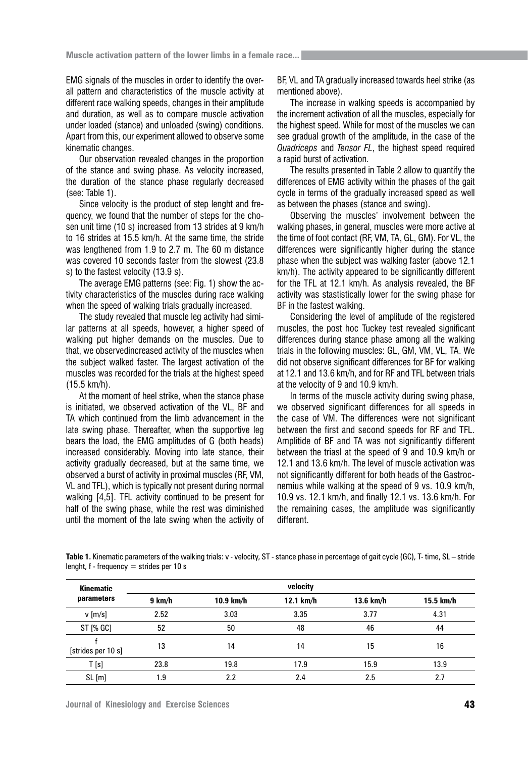EMG signals of the muscles in order to identify the overall pattern and characteristics of the muscle activity at different race walking speeds, changes in their amplitude and duration, as well as to compare muscle activation under loaded (stance) and unloaded (swing) conditions. Apart from this, our experiment allowed to observe some kinematic changes.

Our observation revealed changes in the proportion of the stance and swing phase. As velocity increased, the duration of the stance phase regularly decreased (see: Table 1).

Since velocity is the product of step lenght and frequency, we found that the number of steps for the chosen unit time (10 s) increased from 13 strides at 9 km/h to 16 strides at 15.5 km/h. At the same time, the stride was lengthened from 1.9 to 2.7 m. The 60 m distance was covered 10 seconds faster from the slowest (23.8 s) to the fastest velocity (13.9 s).

The average EMG patterns (see: Fig. 1) show the activity characteristics of the muscles during race walking when the speed of walking trials gradually increased.

The study revealed that muscle leg activity had similar patterns at all speeds, however, a higher speed of walking put higher demands on the muscles. Due to that, we observedincreased activity of the muscles when the subject walked faster. The largest activation of the muscles was recorded for the trials at the highest speed (15.5 km/h).

At the moment of heel strike, when the stance phase is initiated, we observed activation of the VL, BF and TA which continued from the limb advancement in the late swing phase. Thereafter, when the supportive leg bears the load, the EMG amplitudes of G (both heads) increased considerably. Moving into late stance, their activity gradually decreased, but at the same time, we observed a burst of activity in proximal muscles (RF, VM, VL and TFL), which is typically not present during normal walking [4,5]. TFL activity continued to be present for half of the swing phase, while the rest was diminished until the moment of the late swing when the activity of

BF, VL and TA gradually increased towards heel strike (as mentioned above).

The increase in walking speeds is accompanied by the increment activation of all the muscles, especially for the highest speed. While for most of the muscles we can see gradual growth of the amplitude, in the case of the *Quadriceps* and *Tensor FL*, the highest speed required a rapid burst of activation.

The results presented in Table 2 allow to quantify the differences of EMG activity within the phases of the gait cycle in terms of the gradually increased speed as well as between the phases (stance and swing).

Observing the muscles' involvement between the walking phases, in general, muscles were more active at the time of foot contact (RF, VM, TA, GL, GM). For VL, the differences were significantly higher during the stance phase when the subject was walking faster (above 12.1 km/h). The activity appeared to be significantly different for the TFL at 12.1 km/h. As analysis revealed, the BF activity was stastistically lower for the swing phase for BF in the fastest walking.

Considering the level of amplitude of the registered muscles, the post hoc Tuckey test revealed significant differences during stance phase among all the walking trials in the following muscles: GL, GM, VM, VL, TA. We did not observe significant differences for BF for walking at 12.1 and 13.6 km/h, and for RF and TFL between trials at the velocity of 9 and 10.9 km/h.

In terms of the muscle activity during swing phase, we observed significant differences for all speeds in the case of VM. The differences were not significant between the first and second speeds for RF and TFL. Amplitide of BF and TA was not significantly different between the triasl at the speed of 9 and 10.9 km/h or 12.1 and 13.6 km/h. The level of muscle activation was not significantly different for both heads of the Gastrocnemius while walking at the speed of 9 vs. 10.9 km/h, 10.9 vs. 12.1 km/h, and finally 12.1 vs. 13.6 km/h. For the remaining cases, the amplitude was significantly different.

**Table 1.** Kinematic parameters of the walking trials: v - velocity, ST - stance phase in percentage of gait cycle (GC), T- time, SL – stride lenght, f - frequency = strides per 10 s

| <b>Kinematic</b>                    | velocity |           |           |           |           |  |  |  |
|-------------------------------------|----------|-----------|-----------|-----------|-----------|--|--|--|
| parameters                          | 9 km/h   | 10.9 km/h | 12.1 km/h | 13.6 km/h | 15.5 km/h |  |  |  |
| $v$ [m/s]                           | 2.52     | 3.03      | 3.35      | 3.77      | 4.31      |  |  |  |
| ST [% GC]                           | 52       | 50        | 48        | 46        | 44        |  |  |  |
| [strides per 10 s]                  | 13       | 14        | 14        | 15        | 16        |  |  |  |
| $\mathsf{T}\left[\mathsf{s}\right]$ | 23.8     | 19.8      | 17.9      | 15.9      | 13.9      |  |  |  |
| SL[m]                               | 1.9      | 2.2       | 2.4       | 2.5       | 2.7       |  |  |  |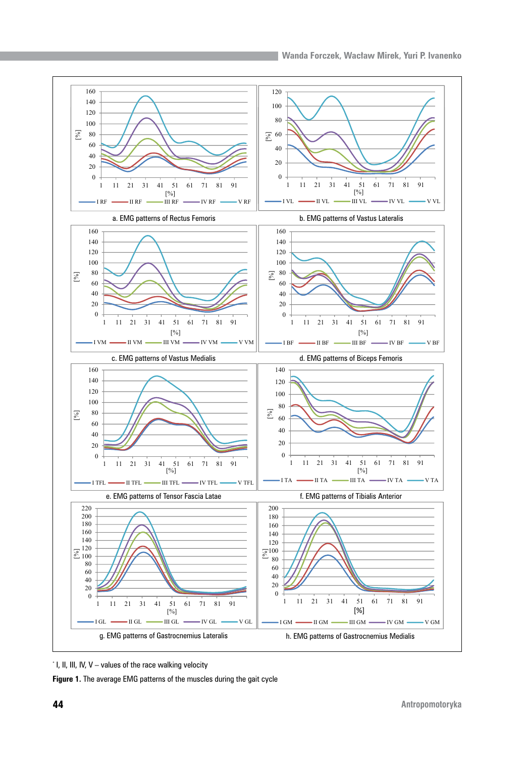

<sup>\*</sup> I, II, III, IV, V – values of the race walking velocity

**Figure 1.** The average EMG patterns of the muscles during the gait cycle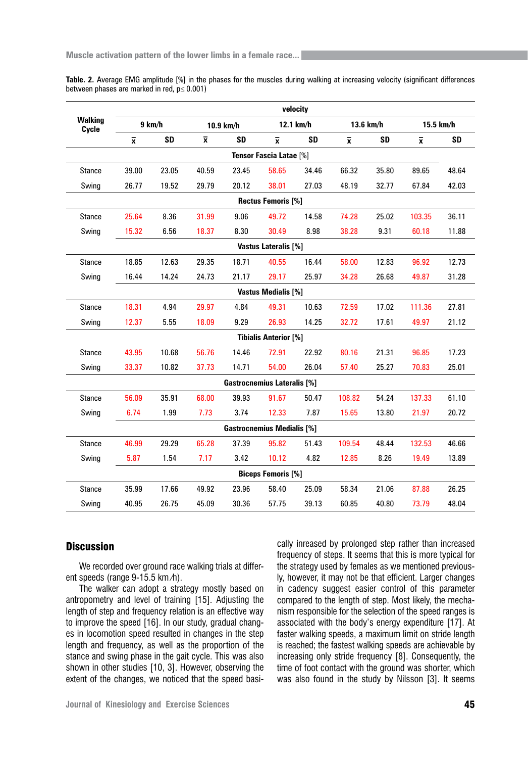| Table. 2. Average EMG amplitude [%] in the phases for the muscles during walking at increasing velocity (significant differences |  |  |  |
|----------------------------------------------------------------------------------------------------------------------------------|--|--|--|
| between phases are marked in red, $p \leq 0.001$ )                                                                               |  |  |  |

|                                    | velocity                |           |                |           |                              |           |                         |           |                |           |
|------------------------------------|-------------------------|-----------|----------------|-----------|------------------------------|-----------|-------------------------|-----------|----------------|-----------|
| <b>Walking</b><br>Cycle            | 9 km/h                  |           | 10.9 km/h      |           | 12.1 km/h                    |           | 13.6 km/h               |           | 15.5 km/h      |           |
|                                    | $\overline{\mathbf{x}}$ | <b>SD</b> | $\overline{x}$ | <b>SD</b> | $\overline{x}$               | <b>SD</b> | $\overline{\mathbf{x}}$ | <b>SD</b> | $\overline{x}$ | <b>SD</b> |
| <b>Tensor Fascia Latae [%]</b>     |                         |           |                |           |                              |           |                         |           |                |           |
| <b>Stance</b>                      | 39.00                   | 23.05     | 40.59          | 23.45     | 58.65                        | 34.46     | 66.32                   | 35.80     | 89.65          | 48.64     |
| Swing                              | 26.77                   | 19.52     | 29.79          | 20.12     | 38.01                        | 27.03     | 48.19                   | 32.77     | 67.84          | 42.03     |
| <b>Rectus Femoris [%]</b>          |                         |           |                |           |                              |           |                         |           |                |           |
| <b>Stance</b>                      | 25.64                   | 8.36      | 31.99          | 9.06      | 49.72                        | 14.58     | 74.28                   | 25.02     | 103.35         | 36.11     |
| Swing                              | 15.32                   | 6.56      | 18.37          | 8.30      | 30.49                        | 8.98      | 38.28                   | 9.31      | 60.18          | 11.88     |
| <b>Vastus Lateralis [%]</b>        |                         |           |                |           |                              |           |                         |           |                |           |
| <b>Stance</b>                      | 18.85                   | 12.63     | 29.35          | 18.71     | 40.55                        | 16.44     | 58.00                   | 12.83     | 96.92          | 12.73     |
| Swing                              | 16.44                   | 14.24     | 24.73          | 21.17     | 29.17                        | 25.97     | 34.28                   | 26.68     | 49.87          | 31.28     |
|                                    |                         |           |                |           | <b>Vastus Medialis [%]</b>   |           |                         |           |                |           |
| <b>Stance</b>                      | 18.31                   | 4.94      | 29.97          | 4.84      | 49.31                        | 10.63     | 72.59                   | 17.02     | 111.36         | 27.81     |
| Swing                              | 12.37                   | 5.55      | 18.09          | 9.29      | 26.93                        | 14.25     | 32.72                   | 17.61     | 49.97          | 21.12     |
|                                    |                         |           |                |           | <b>Tibialis Anterior [%]</b> |           |                         |           |                |           |
| <b>Stance</b>                      | 43.95                   | 10.68     | 56.76          | 14.46     | 72.91                        | 22.92     | 80.16                   | 21.31     | 96.85          | 17.23     |
| Swing                              | 33.37                   | 10.82     | 37.73          | 14.71     | 54.00                        | 26.04     | 57.40                   | 25.27     | 70.83          | 25.01     |
| <b>Gastrocnemius Lateralis [%]</b> |                         |           |                |           |                              |           |                         |           |                |           |
| <b>Stance</b>                      | 56.09                   | 35.91     | 68.00          | 39.93     | 91.67                        | 50.47     | 108.82                  | 54.24     | 137.33         | 61.10     |
| Swing                              | 6.74                    | 1.99      | 7.73           | 3.74      | 12.33                        | 7.87      | 15.65                   | 13.80     | 21.97          | 20.72     |
| <b>Gastrocnemius Medialis [%]</b>  |                         |           |                |           |                              |           |                         |           |                |           |
| <b>Stance</b>                      | 46.99                   | 29.29     | 65.28          | 37.39     | 95.82                        | 51.43     | 109.54                  | 48.44     | 132.53         | 46.66     |
| Swing                              | 5.87                    | 1.54      | 7.17           | 3.42      | 10.12                        | 4.82      | 12.85                   | 8.26      | 19.49          | 13.89     |
| <b>Biceps Femoris [%]</b>          |                         |           |                |           |                              |           |                         |           |                |           |
| <b>Stance</b>                      | 35.99                   | 17.66     | 49.92          | 23.96     | 58.40                        | 25.09     | 58.34                   | 21.06     | 87.88          | 26.25     |
| Swing                              | 40.95                   | 26.75     | 45.09          | 30.36     | 57.75                        | 39.13     | 60.85                   | 40.80     | 73.79          | 48.04     |

# **Discussion**

We recorded over ground race walking trials at different speeds (range 9-15.5 km ⁄h).

The walker can adopt a strategy mostly based on antropometry and level of training [15]. Adjusting the length of step and frequency relation is an effective way to improve the speed [16]. In our study, gradual changes in locomotion speed resulted in changes in the step length and frequency, as well as the proportion of the stance and swing phase in the gait cycle. This was also shown in other studies [10, 3]. However, observing the extent of the changes, we noticed that the speed basically inreased by prolonged step rather than increased frequency of steps. It seems that this is more typical for the strategy used by females as we mentioned previously, however, it may not be that efficient. Larger changes in cadency suggest easier control of this parameter compared to the length of step. Most likely, the mechanism responsible for the selection of the speed ranges is associated with the body's energy expenditure [17]. At faster walking speeds, a maximum limit on stride length is reached; the fastest walking speeds are achievable by increasing only stride frequency [8]. Consequently, the time of foot contact with the ground was shorter, which was also found in the study by Nilsson [3]. It seems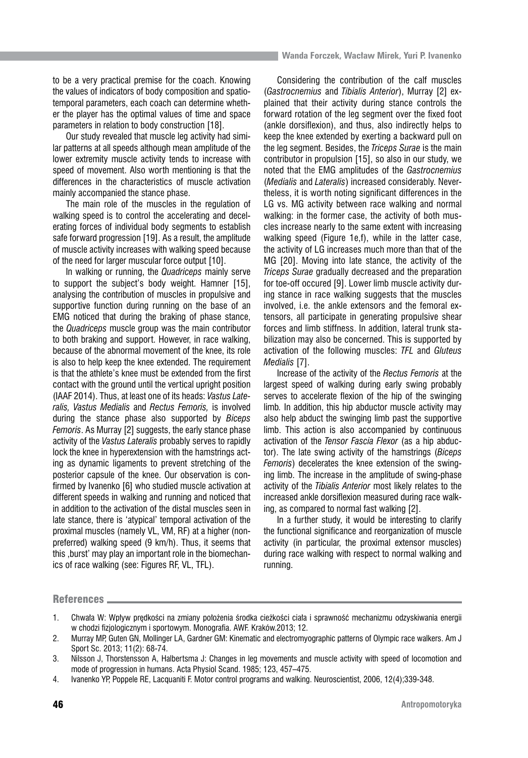to be a very practical premise for the coach. Knowing the values of indicators of body composition and spatiotemporal parameters, each coach can determine whether the player has the optimal values of time and space parameters in relation to body construction [18].

Our study revealed that muscle leg activity had similar patterns at all speeds although mean amplitude of the lower extremity muscle activity tends to increase with speed of movement. Also worth mentioning is that the differences in the characteristics of muscle activation mainly accompanied the stance phase.

The main role of the muscles in the regulation of walking speed is to control the accelerating and decelerating forces of individual body segments to establish safe forward progression [19]. As a result, the amplitude of muscle activity increases with walking speed because of the need for larger muscular force output [10].

In walking or running, the *Quadriceps* mainly serve to support the subject's body weight. Hamner [15], analysing the contribution of muscles in propulsive and supportive function during running on the base of an EMG noticed that during the braking of phase stance, the *Quadriceps* muscle group was the main contributor to both braking and support. However, in race walking, because of the abnormal movement of the knee, its role is also to help keep the knee extended. The requirement is that the athlete's knee must be extended from the first contact with the ground until the vertical upright position (IAAF 2014). Thus, at least one of its heads: *Vastus Lateralis, Vastus Medialis* and *Rectus Femoris,* is involved during the stance phase also supported by *Biceps Femoris*. As Murray [2] suggests, the early stance phase activity of the *Vastus Lateralis* probably serves to rapidly lock the knee in hyperextension with the hamstrings acting as dynamic ligaments to prevent stretching of the posterior capsule of the knee. Our observation is confirmed by Ivanenko [6] who studied muscle activation at different speeds in walking and running and noticed that in addition to the activation of the distal muscles seen in late stance, there is 'atypical' temporal activation of the proximal muscles (namely VL, VM, RF) at a higher (nonpreferred) walking speed (9 km/h). Thus, it seems that this burst' may play an important role in the biomechanics of race walking (see: Figures RF, VL, TFL).

Considering the contribution of the calf muscles (*Gastrocnemius* and *Tibialis Anterior*), Murray [2] explained that their activity during stance controls the forward rotation of the leg segment over the fixed foot (ankle dorsiflexion), and thus, also indirectly helps to keep the knee extended by exerting a backward pull on the leg segment. Besides, the *Triceps Surae* is the main contributor in propulsion [15], so also in our study, we noted that the EMG amplitudes of the *Gastrocnemius* (*Medialis* and *Lateralis*) increased considerably. Nevertheless, it is worth noting significant differences in the LG vs. MG activity between race walking and normal walking: in the former case, the activity of both muscles increase nearly to the same extent with increasing walking speed (Figure 1e,f), while in the latter case, the activity of LG increases much more than that of the MG [20]. Moving into late stance, the activity of the *Triceps Surae* gradually decreased and the preparation for toe-off occured [9]. Lower limb muscle activity during stance in race walking suggests that the muscles involved, i.e. the ankle extensors and the femoral extensors, all participate in generating propulsive shear forces and limb stiffness. In addition, lateral trunk stabilization may also be concerned. This is supported by activation of the following muscles: *TFL* and *Gluteus Medialis* [7].

Increase of the activity of the *Rectus Femoris* at the largest speed of walking during early swing probably serves to accelerate flexion of the hip of the swinging limb*.* In addition, this hip abductor muscle activity may also help abduct the swinging limb past the supportive limb. This action is also accompanied by continuous activation of the *Tensor Fascia Flexor* (as a hip abductor). The late swing activity of the hamstrings (*Biceps Femoris*) decelerates the knee extension of the swinging limb. The increase in the amplitude of swing-phase activity of the *Tibialis Anterior* most likely relates to the increased ankle dorsiflexion measured during race walking, as compared to normal fast walking [2].

In a further study, it would be interesting to clarify the functional significance and reorganization of muscle activity (in particular, the proximal extensor muscles) during race walking with respect to normal walking and running.

## References

<sup>1.</sup> Chwała W: Wpływ prędkości na zmiany położenia środka cieżkości ciała i sprawność mechanizmu odzyskiwania energii w chodzi fizjologicznym i sportowym. Monografia. AWF. Kraków.2013; 12.

<sup>2.</sup> Murray MP, Guten GN, Mollinger LA, Gardner GM: Kinematic and electromyographic patterns of Olympic race walkers. Am J Sport Sc. 2013; 11(2): 68-74.

<sup>3.</sup> Nilsson J, Thorstensson A, Halbertsma J: Changes in leg movements and muscle activity with speed of locomotion and mode of progression in humans. Acta Physiol Scand. 1985; 123, 457–475.

<sup>4.</sup> Ivanenko YP, Poppele RE, Lacquaniti F. Motor control programs and walking. Neuroscientist, 2006, 12(4);339-348.